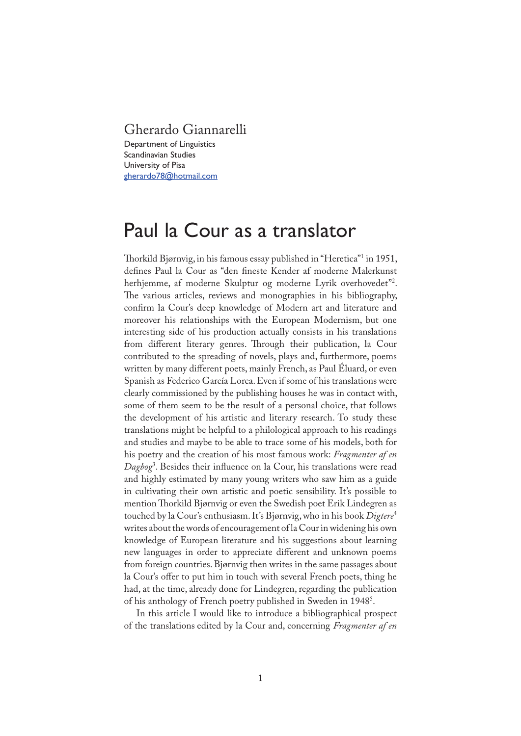## Gherardo Giannarelli

Department of Linguistics Scandinavian Studies University of Pisa gherardo78@hotmail.com

# Paul la Cour as a translator

Thorkild Bjørnvig, in his famous essay published in "Heretica"<sup>1</sup> in 1951, defines Paul la Cour as "den fineste Kender af moderne Malerkunst herhjemme, af moderne Skulptur og moderne Lyrik overhovedet"<sup>2</sup> . �e various articles, reviews and monographies in his bibliography, con�rm la Cour's deep knowledge of Modern art and literature and moreover his relationships with the European Modernism, but one interesting side of his production actually consists in his translations from different literary genres. Through their publication, la Cour contributed to the spreading of novels, plays and, furthermore, poems written by many different poets, mainly French, as Paul Éluard, or even Spanish as Federico García Lorca. Even if some of his translations were clearly commissioned by the publishing houses he was in contact with, some of them seem to be the result of a personal choice, that follows the development of his artistic and literary research. To study these translations might be helpful to a philological approach to his readings and studies and maybe to be able to trace some of his models, both for his poetry and the creation of his most famous work: *Fragmenter af en Dagbog*<sup>3</sup> . Besides their in�uence on la Cour, his translations were read and highly estimated by many young writers who saw him as a guide in cultivating their own artistic and poetic sensibility. It's possible to mention Thorkild Bjørnvig or even the Swedish poet Erik Lindegren as touched by la Cour's enthusiasm. It's Bjørnvig, who in his book *Digtere*<sup>4</sup> writes about the words of encouragement of la Cour in widening his own knowledge of European literature and his suggestions about learning new languages in order to appreciate different and unknown poems from foreign countries. Bjørnvig then writes in the same passages about la Cour's offer to put him in touch with several French poets, thing he had, at the time, already done for Lindegren, regarding the publication of his anthology of French poetry published in Sweden in 1948<sup>5</sup>.

In this article I would like to introduce a bibliographical prospect of the translations edited by la Cour and, concerning *Fragmenter af en*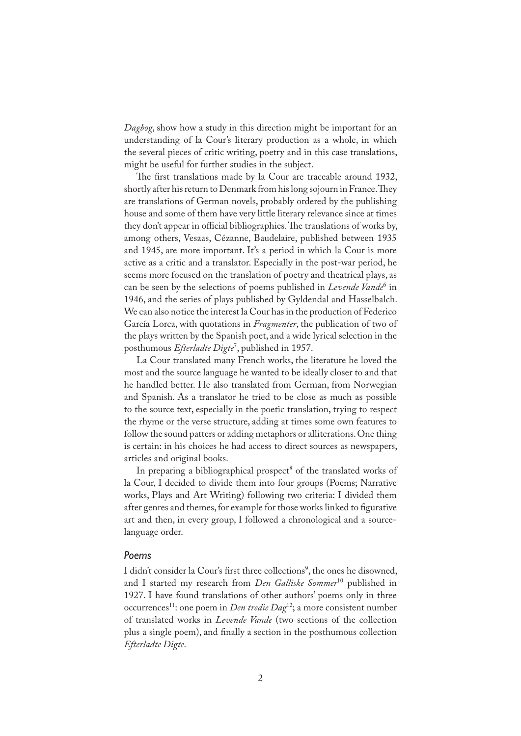*Dagbog*, show how a study in this direction might be important for an understanding of la Cour's literary production as a whole, in which the several pieces of critic writing, poetry and in this case translations, might be useful for further studies in the subject.

The first translations made by la Cour are traceable around 1932, shortly after his return to Denmark from his long sojourn in France. They are translations of German novels, probably ordered by the publishing house and some of them have very little literary relevance since at times they don't appear in official bibliographies. The translations of works by, among others, Vesaas, Cézanne, Baudelaire, published between 1935 and 1945, are more important. It's a period in which la Cour is more active as a critic and a translator. Especially in the post-war period, he seems more focused on the translation of poetry and theatrical plays, as can be seen by the selections of poems published in *Levende Vande*<sup>6</sup> in 1946, and the series of plays published by Gyldendal and Hasselbalch. We can also notice the interest la Cour has in the production of Federico García Lorca, with quotations in *Fragmenter*, the publication of two of the plays written by the Spanish poet, and a wide lyrical selection in the posthumous *Efterladte Digte*<sup>7</sup> , published in 1957.

La Cour translated many French works, the literature he loved the most and the source language he wanted to be ideally closer to and that he handled better. He also translated from German, from Norwegian and Spanish. As a translator he tried to be close as much as possible to the source text, especially in the poetic translation, trying to respect the rhyme or the verse structure, adding at times some own features to follow the sound patters or adding metaphors or alliterations. One thing is certain: in his choices he had access to direct sources as newspapers, articles and original books.

In preparing a bibliographical prospect<sup>8</sup> of the translated works of la Cour, I decided to divide them into four groups (Poems; Narrative works, Plays and Art Writing) following two criteria: I divided them after genres and themes, for example for those works linked to figurative art and then, in every group, I followed a chronological and a sourcelanguage order.

#### *Poems*

I didn't consider la Cour's first three collections<sup>9</sup>, the ones he disowned, and I started my research from *Den Galliske Sommer*<sup>10</sup> published in 1927. I have found translations of other authors' poems only in three occurrences<sup>11</sup>: one poem in *Den tredie Dag*<sup>12</sup>; a more consistent number of translated works in *Levende Vande* (two sections of the collection plus a single poem), and �nally a section in the posthumous collection *Efterladte Digte*.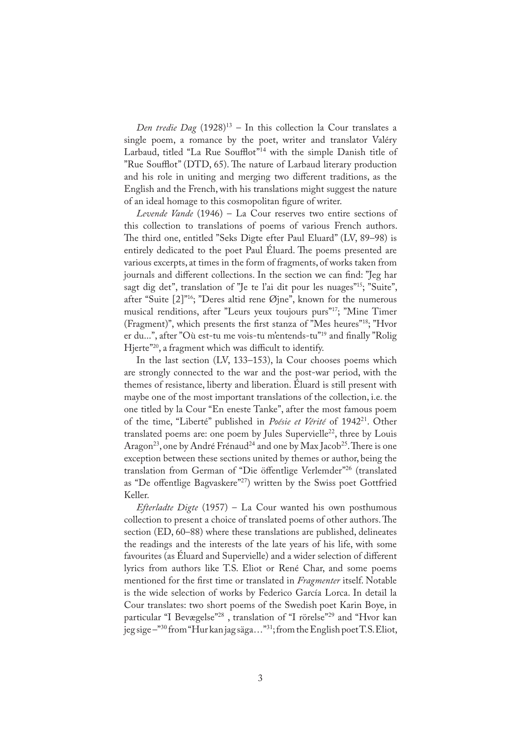*Den tredie Dag* (1928)<sup>13</sup> – In this collection la Cour translates a single poem, a romance by the poet, writer and translator Valéry Larbaud, titled "La Rue Soufflot"<sup>14</sup> with the simple Danish title of "Rue Soufflot" (DTD, 65). �e nature of Larbaud literary production and his role in uniting and merging two different traditions, as the English and the French, with his translations might suggest the nature of an ideal homage to this cosmopolitan figure of writer.

*Levende Vande* (1946) – La Cour reserves two entire sections of this collection to translations of poems of various French authors. �e third one, entitled "Seks Digte efter Paul Eluard" (LV, 89–98) is entirely dedicated to the poet Paul Éluard. The poems presented are various excerpts, at times in the form of fragments, of works taken from journals and different collections. In the section we can find: "Jeg har sagt dig det", translation of "Je te l'ai dit pour les nuages"<sup>15</sup>; "Suite", after "Suite  $[2]$ "<sup>16</sup>; "Deres altid rene Øjne", known for the numerous musical renditions, after "Leurs yeux toujours purs"17; "Mine Timer (Fragment)", which presents the first stanza of "Mes heures"<sup>18</sup>; "Hvor er du...", after "Où est-tu me vois-tu m'entends-tu"<sup>19</sup> and finally "Rolig Hjerte"<sup>20</sup>, a fragment which was difficult to identify.

In the last section (LV, 133–153), la Cour chooses poems which are strongly connected to the war and the post-war period, with the themes of resistance, liberty and liberation. Éluard is still present with maybe one of the most important translations of the collection, i.e. the one titled by la Cour "En eneste Tanke", after the most famous poem of the time, "Liberté" published in *Poésie et Vérité* of 1942<sup>21</sup>. Other translated poems are: one poem by Jules Supervielle<sup>22</sup>, three by Louis Aragon<sup>23</sup>, one by André Frénaud<sup>24</sup> and one by Max Jacob<sup>25</sup>. There is one exception between these sections united by themes or author, being the translation from German of "Die öffentlige Verlemder"<sup>26</sup> (translated as "De offentlige Bagvaskere"<sup>27</sup>) written by the Swiss poet Gottfried Keller.

*Efterladte Digte* (1957) – La Cour wanted his own posthumous collection to present a choice of translated poems of other authors. The section (ED, 60–88) where these translations are published, delineates the readings and the interests of the late years of his life, with some favourites (as Éluard and Supervielle) and a wider selection of different lyrics from authors like T.S. Eliot or René Char, and some poems mentioned for the first time or translated in *Fragmenter* itself. Notable is the wide selection of works by Federico García Lorca. In detail la Cour translates: two short poems of the Swedish poet Karin Boye, in particular "I Bevægelse"<sup>28</sup>, translation of "I rörelse"<sup>29</sup> and "Hvor kan jeg sige –"<sup>30</sup> from "Hur kan jag säga…"<sup>31</sup>; from the English poet T.S. Eliot,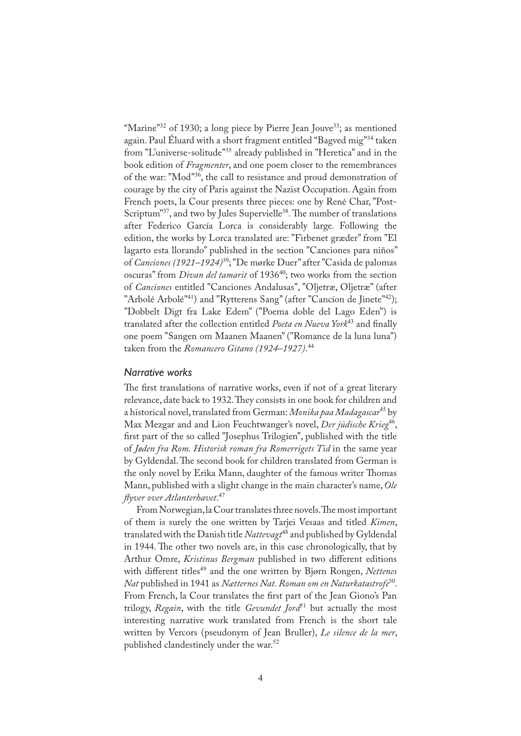"Marine"<sup>32</sup> of 1930; a long piece by Pierre Jean Jouve<sup>33</sup>; as mentioned again. Paul Éluard with a short fragment entitled "Bagved mig"<sup>34</sup> taken from "L'universe-solitude"<sup>35</sup> already published in "Heretica" and in the book edition of *Fragmenter*, and one poem closer to the remembrances of the war: "Mod"<sup>36</sup>, the call to resistance and proud demonstration of courage by the city of Paris against the Nazist Occupation. Again from French poets, la Cour presents three pieces: one by René Char, "Post-Scriptum"<sup>37</sup>, and two by Jules Supervielle<sup>38</sup>. The number of translations after Federico García Lorca is considerably large. Following the edition, the works by Lorca translated are: "Firbenet græder" from "El lagarto esta llorando" published in the section "Canciones para niños" of *Canciones (1921–1924)*<sup>39</sup>; "De mørke Duer" after "Casida de palomas oscuras" from *Divan del tamarit* of 1936<sup>40</sup>; two works from the section of *Canciones* entitled "Canciones Andalusas", "Oljetræ, Oljetræ" (after "Arbolé Arbolé"<sup>41</sup>) and "Rytterens Sang" (after "Cancíon de Jinete"<sup>42</sup>); "Dobbelt Digt fra Lake Edem" ("Poema doble del Lago Eden") is translated after the collection entitled *Poeta en Nueva York*<sup>43</sup> and finally one poem "Sangen om Maanen Maanen" ("Romance de la luna luna") taken from the *Romancero Gitano (1924–1927)*. 44

#### *Narrative works*

The first translations of narrative works, even if not of a great literary relevance, date back to 1932. They consists in one book for children and a historical novel, translated from German: *Monika paa Madagascar*<sup>45</sup> by Max Mezgar and and Lion Feuchtwanger's novel, *Der jüdische Krieg*<sup>46</sup>, first part of the so called "Josephus Trilogien", published with the title of *Jøden fra Rom. Historisk roman fra Romerrigets Tid* in the same year by Gyldendal. The second book for children translated from German is the only novel by Erika Mann, daughter of the famous writer Thomas Mann, published with a slight change in the main character's name, *Ole �yver over Atlanterhavet*. 47

From Norwegian, la Cour translates three novels. The most important of them is surely the one written by Tarjei Vesaas and titled *Kimen*, translated with the Danish title *Nattevagt*<sup>48</sup> and published by Gyldendal in 1944. The other two novels are, in this case chronologically, that by Arthur Omre, *Kristinus Bergman* published in two different editions with different titles<sup>49</sup> and the one written by Bjørn Rongen, *Nettenes Nat* published in 1941 as *Nætternes Nat. Roman om en Naturkatastrofe*<sup>50</sup>. From French, la Cour translates the first part of the Jean Giono's Pan trilogy, *Regain*, with the title *Gevundet Jord*<sup>51</sup> but actually the most interesting narrative work translated from French is the short tale written by Vercors (pseudonym of Jean Bruller), *Le silence de la mer*, published clandestinely under the war.<sup>52</sup>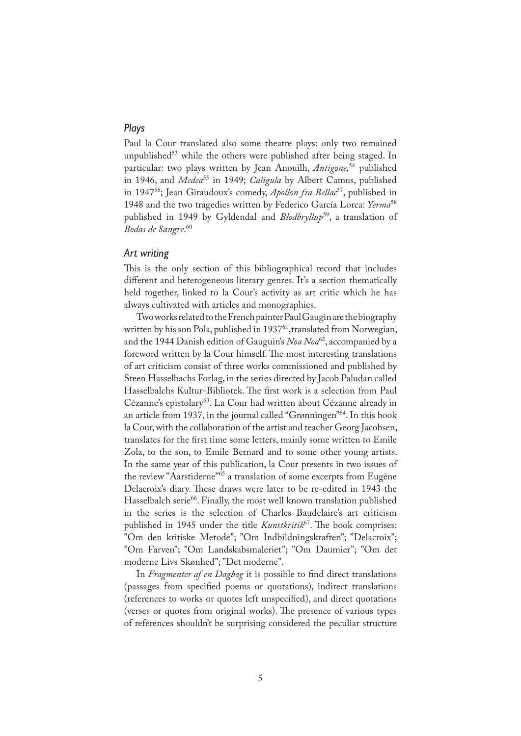### *Plays*

Paul la Cour translated also some theatre plays: only two remained unpublished<sup>53</sup> while the others were published after being staged. In particular: two plays written by Jean Anouilh, *Antigone,*<sup>54</sup> published in 1946, and *Medea<sup>55</sup>* in 1949; *Caligula* by Albert Camus, published in 1947<sup>56</sup>; Jean Giraudoux's comedy, *Apollon fra Bellac*<sup>57</sup>, published in 1948 and the two tragedies written by Federico García Lorca: *Yerma*<sup>58</sup> published in 1949 by Gyldendal and *Blodbryllup*<sup>59</sup>, a translation of *Bodas de Sangre*. 60

#### *Art writing*

This is the only section of this bibliographical record that includes different and heterogeneous literary genres. It's a section thematically held together, linked to la Cour's activity as art critic which he has always cultivated with articles and monographies.

Two works related to the French painter Paul Gaugin are the biography written by his son Pola, published in 1937<sup>61</sup>, translated from Norwegian, and the 1944 Danish edition of Gauguin's *Noa Noa*<sup>62</sup>, accompanied by a foreword written by la Cour himself. The most interesting translations of art criticism consist of three works commissioned and published by Steen Hasselbachs Forlag, in the series directed by Jacob Paludan called Hasselbalchs Kultur-Bibliotek. The first work is a selection from Paul Cézanne's epistolary<sup>63</sup>. La Cour had written about Cézanne already in an article from 1937, in the journal called "Grønningen"<sup>64</sup>. In this book la Cour, with the collaboration of the artist and teacher Georg Jacobsen, translates for the first time some letters, mainly some written to Emile Zola, to the son, to Emile Bernard and to some other young artists. In the same year of this publication, la Cour presents in two issues of the review "Aarstiderne"<sup>65</sup> a translation of some excerpts from Eugène Delacroix's diary. These draws were later to be re-edited in 1943 the Hasselbalch serie<sup>66</sup>. Finally, the most well known translation published in the series is the selection of Charles Baudelaire's art criticism published in 1945 under the title *Kunstkritik*<sup>67</sup>. The book comprises: "Om den kritiske Metode"; "Om Indbildningskraften"; "Delacroix"; "Om Farven"; "Om Landskabsmaleriet"; "Om Daumier"; "Om det moderne Livs Skønhed"; "Det moderne".

In *Fragmenter af en Dagbog* it is possible to find direct translations (passages from speci�ed poems or quotations), indirect translations (references to works or quotes left unspeci�ed), and direct quotations (verses or quotes from original works). The presence of various types of references shouldn't be surprising considered the peculiar structure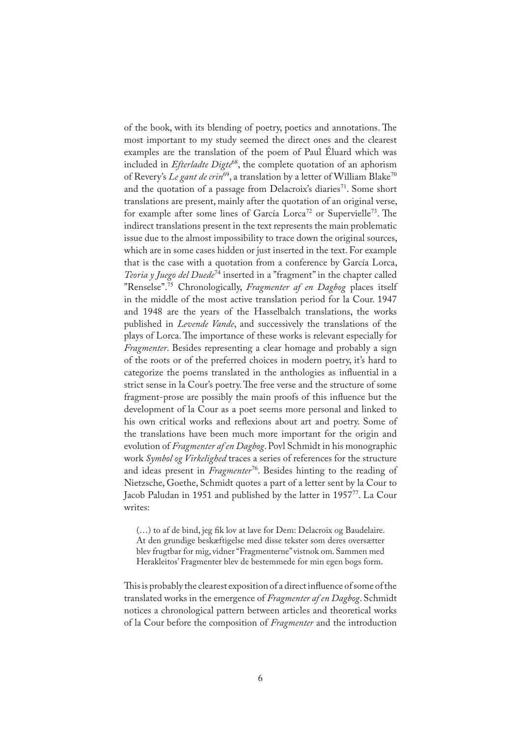of the book, with its blending of poetry, poetics and annotations. The most important to my study seemed the direct ones and the clearest examples are the translation of the poem of Paul Éluard which was included in *Efterladte Digte*<sup>68</sup>, the complete quotation of an aphorism of Revery's *Le gant de crin*<sup>69</sup>, a translation by a letter of William Blake<sup>70</sup> and the quotation of a passage from Delacroix's diaries<sup>71</sup>. Some short translations are present, mainly after the quotation of an original verse, for example after some lines of García Lorca<sup>72</sup> or Supervielle<sup>73</sup>. The indirect translations present in the text represents the main problematic issue due to the almost impossibility to trace down the original sources, which are in some cases hidden or just inserted in the text. For example that is the case with a quotation from a conference by García Lorca, *Teoria y Juego del Duede*<sup>74</sup> inserted in a "fragment" in the chapter called "Renselse".<sup>75</sup> Chronologically, *Fragmenter af en Dagbog* places itself in the middle of the most active translation period for la Cour. 1947 and 1948 are the years of the Hasselbalch translations, the works published in *Levende Vande*, and successively the translations of the plays of Lorca. The importance of these works is relevant especially for *Fragmenter*. Besides representing a clear homage and probably a sign of the roots or of the preferred choices in modern poetry, it's hard to categorize the poems translated in the anthologies as in�uential in a strict sense in la Cour's poetry. The free verse and the structure of some fragment-prose are possibly the main proofs of this in�uence but the development of la Cour as a poet seems more personal and linked to his own critical works and reflexions about art and poetry. Some of the translations have been much more important for the origin and evolution of *Fragmenter af en Dagbog*. Povl Schmidt in his monographic work *Symbol og Virkelighed* traces a series of references for the structure and ideas present in *Fragmenter*<sup>76</sup>. Besides hinting to the reading of Nietzsche, Goethe, Schmidt quotes a part of a letter sent by la Cour to Jacob Paludan in 1951 and published by the latter in 1957<sup>77</sup>. La Cour writes:

(…) to af de bind, jeg �k lov at lave for Dem: Delacroix og Baudelaire. At den grundige beskæftigelse med disse tekster som deres oversætter blev frugtbar for mig, vidner "Fragmenterne" vistnok om. Sammen med Herakleitos' Fragmenter blev de bestemmede for min egen bogs form.

This is probably the clearest exposition of a direct influence of some of the translated works in the emergence of *Fragmenter af en Dagbog*. Schmidt notices a chronological pattern between articles and theoretical works of la Cour before the composition of *Fragmenter* and the introduction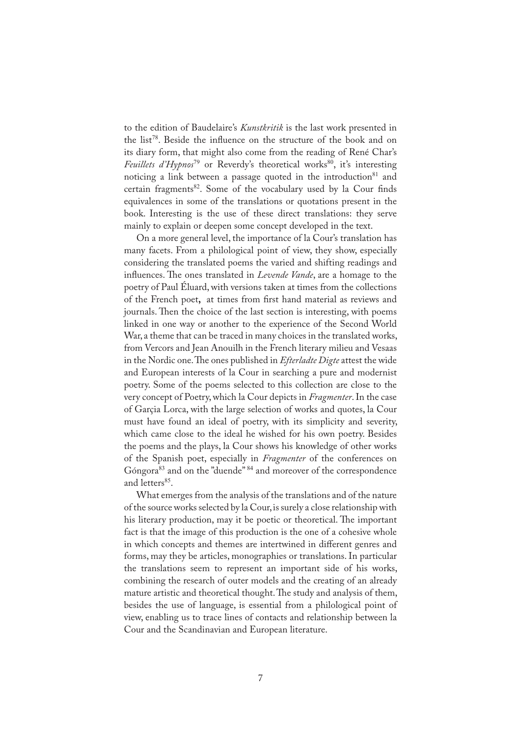to the edition of Baudelaire's *Kunstkritik* is the last work presented in the list<sup>78</sup>. Beside the in�uence on the structure of the book and on its diary form, that might also come from the reading of René Char's *Feuillets d'Hypnos*<sup>79</sup> or Reverdy's theoretical works<sup>80</sup>, it's interesting noticing a link between a passage quoted in the introduction $81$  and certain fragments<sup>82</sup>. Some of the vocabulary used by la Cour finds equivalences in some of the translations or quotations present in the book. Interesting is the use of these direct translations: they serve mainly to explain or deepen some concept developed in the text.

On a more general level, the importance of la Cour's translation has many facets. From a philological point of view, they show, especially considering the translated poems the varied and shifting readings and influences. The ones translated in *Levende Vande*, are a homage to the poetry of Paul Éluard, with versions taken at times from the collections of the French poet**,** at times from �rst hand material as reviews and journals. Then the choice of the last section is interesting, with poems linked in one way or another to the experience of the Second World War, a theme that can be traced in many choices in the translated works, from Vercors and Jean Anouilh in the French literary milieu and Vesaas in the Nordic one. The ones published in *Efterladte Digte* attest the wide and European interests of la Cour in searching a pure and modernist poetry. Some of the poems selected to this collection are close to the very concept of Poetry, which la Cour depicts in *Fragmenter*. In the case of Garçia Lorca, with the large selection of works and quotes, la Cour must have found an ideal of poetry, with its simplicity and severity, which came close to the ideal he wished for his own poetry. Besides the poems and the plays, la Cour shows his knowledge of other works of the Spanish poet, especially in *Fragmenter* of the conferences on Góngora<sup>83</sup> and on the "duende" <sup>84</sup> and moreover of the correspondence and letters<sup>85</sup>.

What emerges from the analysis of the translations and of the nature of the source works selected by la Cour, is surely a close relationship with his literary production, may it be poetic or theoretical. The important fact is that the image of this production is the one of a cohesive whole in which concepts and themes are intertwined in different genres and forms, may they be articles, monographies or translations. In particular the translations seem to represent an important side of his works, combining the research of outer models and the creating of an already mature artistic and theoretical thought. The study and analysis of them, besides the use of language, is essential from a philological point of view, enabling us to trace lines of contacts and relationship between la Cour and the Scandinavian and European literature.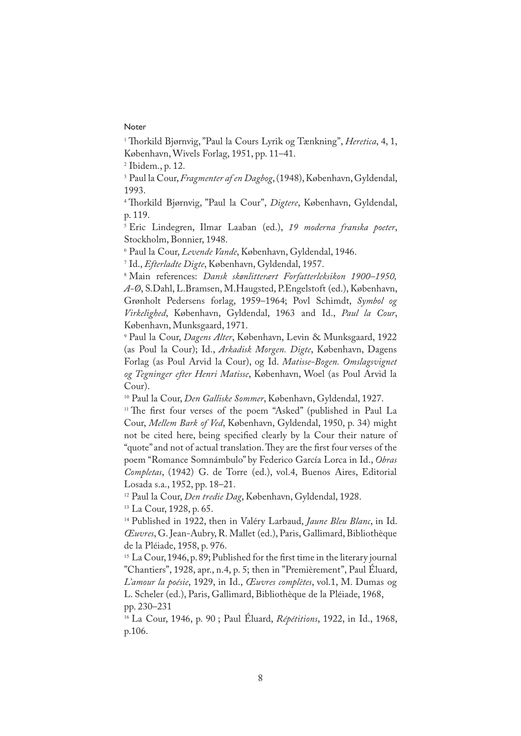#### Noter

<sup>1</sup> Thorkild Bjørnvig, "Paul la Cours Lyrik og Tænkning", *Heretica*, 4, 1, København, Wivels Forlag, 1951, pp. 11–41.

2 Ibidem., p. 12.

3 Paul la Cour, *Fragmenter af en Dagbog*, (1948), København, Gyldendal, 1993.

<sup>4</sup> Thorkild Bjørnvig, "Paul la Cour", *Digtere*, København, Gyldendal, p. 119.

5 Eric Lindegren, Ilmar Laaban (ed.), *19 moderna franska poeter*, Stockholm, Bonnier, 1948.

6 Paul la Cour, *Levende Vande*, København, Gyldendal, 1946.

7 Id., *Efterladte Digte*, København, Gyldendal, 1957.

8 Main references: *Dansk skønlitterært Forfatterleksikon 1900–1950, A-Ø*, S.Dahl, L.Bramsen, M.Haugsted, P.Engelstoft (ed.), København, Grønholt Pedersens forlag, 1959–1964; Povl Schimdt, *Symbol og Virkelighed*, København, Gyldendal, 1963 and Id., *Paul la Cour*, København, Munksgaard, 1971.

9 Paul la Cour, *Dagens Alter*, København, Levin & Munksgaard, 1922 (as Poul la Cour); Id., *Arkadisk Morgen. Digte*, København, Dagens Forlag (as Poul Arvid la Cour), og Id. *Matisse-Bogen. Omslagsvignet og Tegninger efter Henri Matisse*, København, Woel (as Poul Arvid la Cour).

<sup>10</sup> Paul la Cour, *Den Galliske Sommer*, København, Gyldendal, 1927.

<sup>11</sup> The first four verses of the poem "Asked" (published in Paul La Cour, *Mellem Bark of Ved*, København, Gyldendal, 1950, p. 34) might not be cited here, being specified clearly by la Cour their nature of "quote" and not of actual translation. They are the first four verses of the poem "Romance Somnámbulo" by Federico García Lorca in Id., *Obras Completas*, (1942) G. de Torre (ed.), vol.4, Buenos Aires, Editorial Losada s.a., 1952, pp. 18–21.

<sup>12</sup> Paul la Cour, *Den tredie Dag*, København, Gyldendal, 1928.

<sup>13</sup> La Cour, 1928, p. 65.

<sup>14</sup> Published in 1922, then in Valéry Larbaud, *Jaune Bleu Blanc*, in Id. *Œuvres*, G. Jean-Aubry, R. Mallet (ed.), Paris, Gallimard, Bibliothèque de la Pléiade, 1958, p. 976.

<sup>15</sup> La Cour, 1946, p. 89; Published for the first time in the literary journal "Chantiers", 1928, apr., n.4, p. 5; then in "Premièrement", Paul Éluard, *L'amour la poésie*, 1929, in Id., *Œuvres complètes*, vol.1, M. Dumas og L. Scheler (ed.), Paris, Gallimard, Bibliothèque de la Pléiade, 1968, pp. 230–231

<sup>16</sup> La Cour, 1946, p. 90 ; Paul Éluard, *Répétitions*, 1922, in Id., 1968, p.106.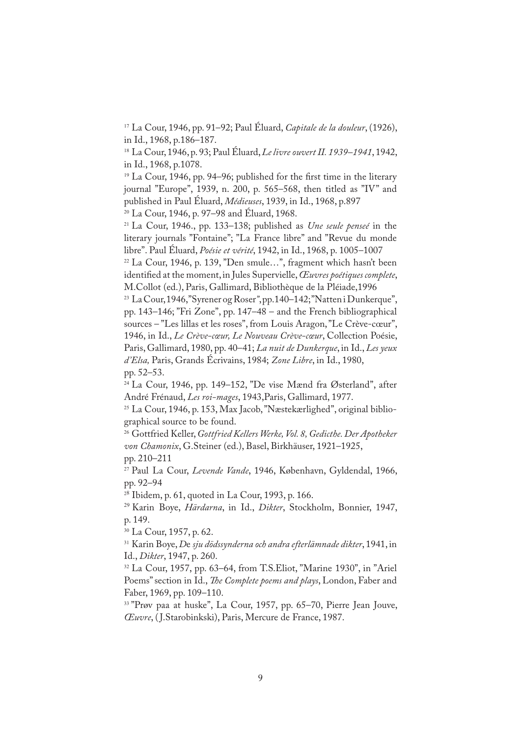<sup>17</sup> La Cour, 1946, pp. 91–92; Paul Éluard, *Capitale de la douleur*, (1926), in Id., 1968, p.186–187.

<sup>18</sup> La Cour, 1946, p. 93; Paul Éluard, *Le livre ouvert II. 1939–1941*, 1942, in Id., 1968, p.1078.

<sup>19</sup> La Cour, 1946, pp. 94–96; published for the first time in the literary journal "Europe", 1939, n. 200, p. 565–568, then titled as "IV" and published in Paul Éluard, *Médieuses*, 1939, in Id., 1968, p.897

<sup>20</sup> La Cour, 1946, p. 97–98 and Éluard, 1968.

<sup>21</sup> La Cour, 1946., pp. 133–138; published as *Une seule penseé* in the literary journals "Fontaine"; "La France libre" and "Revue du monde libre". Paul Éluard, *Poésie et vérité*, 1942, in Id., 1968, p. 1005–1007

<sup>22</sup> La Cour, 1946, p. 139, "Den smule…", fragment which hasn't been identified at the moment, in Jules Supervielle, *Œuvres poétiques complete*, M.Collot (ed.), Paris, Gallimard, Bibliothèque de la Pléiade,1996

<sup>23</sup> La Cour, 1946, "Syrener og Roser*"*, pp.140–142; "Natten i Dunkerque", pp. 143–146; "Fri Zone", pp. 147–48 – and the French bibliographical sources – "Les lillas et les roses", from Louis Aragon, "Le Crève-cœur", 1946, in Id., *Le Crève-cœur, Le Nouveau Crève-cœur*, Collection Poésie, Paris, Gallimard, 1980, pp. 40–41; *La nuit de Dunkerque*, in Id., *Les yeux d'Elsa,* Paris, Grands Écrivains, 1984; *Zone Libre*, in Id., 1980, pp. 52–53.

 $24$  La Cour, 1946, pp. 149–152, "De vise Mænd fra Østerland", after André Frénaud, *Les roi-mages*, 1943,Paris, Gallimard, 1977.

<sup>25</sup> La Cour, 1946, p. 153, Max Jacob, "Næstekærlighed", original bibliographical source to be found.

<sup>26</sup> Gottfried Keller, *Gottfried Kellers Werke, Vol. 8, Gedicthe. Der Apotheker von Chamonix*, G.Steiner (ed.), Basel, Birkhäuser, 1921–1925, pp. 210–211

<sup>27</sup> Paul La Cour, *Levende Vande*, 1946, København, Gyldendal, 1966, pp. 92–94

28 Ibidem, p. 61, quoted in La Cour, 1993, p. 166.

<sup>29</sup> Karin Boye, *Härdarna*, in Id., *Dikter*, Stockholm, Bonnier, 1947, p. 149.

<sup>30</sup> La Cour, 1957, p. 62.

<sup>31</sup> Karin Boye, *D*e *sju dödssynderna och andra efterlämnade dikter*, 1941, in Id., *Dikter*, 1947, p. 260.

<sup>32</sup> La Cour, 1957, pp. 63–64, from T.S.Eliot, "Marine 1930", in "Ariel Poems" section in Id., *�e Complete poems and plays*, London, Faber and Faber, 1969, pp. 109–110.

<sup>33</sup> "Prøv paa at huske", La Cour, 1957, pp. 65–70, Pierre Jean Jouve, *Œuvre*, ( J.Starobinkski), Paris, Mercure de France, 1987.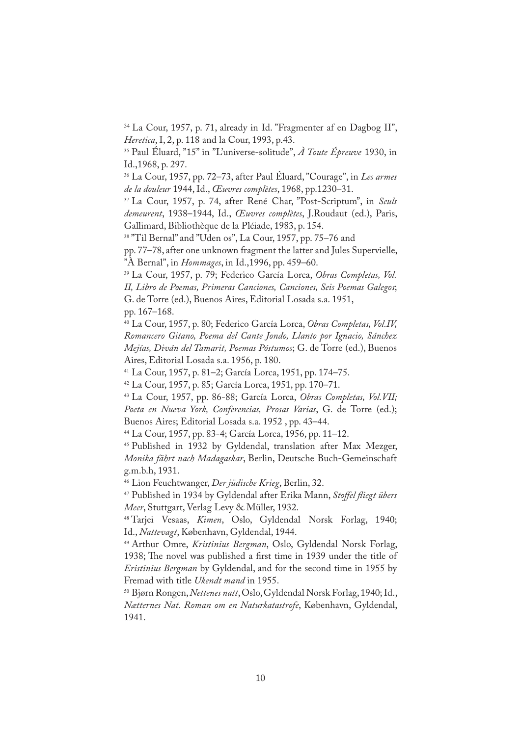34 La Cour, 1957, p. 71, already in Id. "Fragmenter af en Dagbog II", *Heretica*, I, 2, p. 118 and la Cour, 1993, p.43.

<sup>35</sup> Paul Éluard, "15" in "L'universe-solitude", *À Toute Épreuve* 1930, in Id.,1968, p. 297.

<sup>36</sup> La Cour, 1957, pp. 72–73, after Paul Éluard, "Courage", in *Les armes de la douleur* 1944, Id., *Œuvres complètes*, 1968, pp.1230–31.

<sup>37</sup> La Cour, 1957, p. 74, after René Char, "Post-Scriptum", in *Seuls demeurent*, 1938–1944, Id., *Œuvres complètes*, J.Roudaut (ed.), Paris, Gallimard, Bibliothèque de la Pléiade, 1983, p. 154.

<sup>38</sup> "Til Bernal" and "Uden os", La Cour, 1957, pp. 75–76 and

pp. 77–78, after one unknown fragment the latter and Jules Supervielle, "À Bernal", in *Hommages*, in Id.,1996, pp. 459–60.

<sup>39</sup> La Cour, 1957, p. 79; Federico García Lorca, *Obras Completas, Vol. II, Libro de Poemas, Primeras Canciones, Canciones, Seis Poemas Galegos*; G. de Torre (ed.), Buenos Aires, Editorial Losada s.a. 1951,

pp. 167–168.

<sup>40</sup> La Cour, 1957, p. 80; Federico García Lorca, *Obras Completas, Vol.IV, Romancero Gitano, Poema del Cante Jondo, Llanto por Ignacio, Sánchez Mejías, Diván del Tamarit, Poemas Póstumos*; G. de Torre (ed.), Buenos Aires, Editorial Losada s.a. 1956, p. 180.

<sup>41</sup> La Cour, 1957, p. 81–2; García Lorca, 1951, pp. 174–75.

<sup>42</sup> La Cour, 1957, p. 85; García Lorca, 1951, pp. 170–71.

<sup>43</sup> La Cour, 1957, pp. 86-88; García Lorca, *Obras Completas, Vol.VII; Poeta en Nueva York, Conferencias, Prosas Varias*, G. de Torre (ed.); Buenos Aires; Editorial Losada s.a. 1952 , pp. 43–44.

<sup>44</sup> La Cour, 1957, pp. 83-4; García Lorca, 1956, pp. 11–12.

<sup>45</sup> Published in 1932 by Gyldendal, translation after Max Mezger, *Monika fährt nach Madagaskar*, Berlin, Deutsche Buch-Gemeinschaft g.m.b.h, 1931.

<sup>46</sup> Lion Feuchtwanger, *Der jüdische Krieg*, Berlin, 32.

<sup>47</sup> Published in 1934 by Gyldendal after Erika Mann, *Stoffel �iegt übers Meer*, Stuttgart, Verlag Levy & Müller, 1932.

<sup>48</sup> Tarjei Vesaas, *Kimen*, Oslo, Gyldendal Norsk Forlag, 1940; Id., *Nattevagt*, København, Gyldendal, 1944.

<sup>49</sup> Arthur Omre, *Kristinius Bergman*, Oslo, Gyldendal Norsk Forlag, 1938; The novel was published a first time in 1939 under the title of *Eristinius Bergman* by Gyldendal, and for the second time in 1955 by Fremad with title *Ukendt mand* in 1955.

<sup>50</sup> Bjørn Rongen, *Nettenes natt*, Oslo, Gyldendal Norsk Forlag, 1940; Id., *Nætternes Nat. Roman om en Naturkatastrofe*, København, Gyldendal, 1941.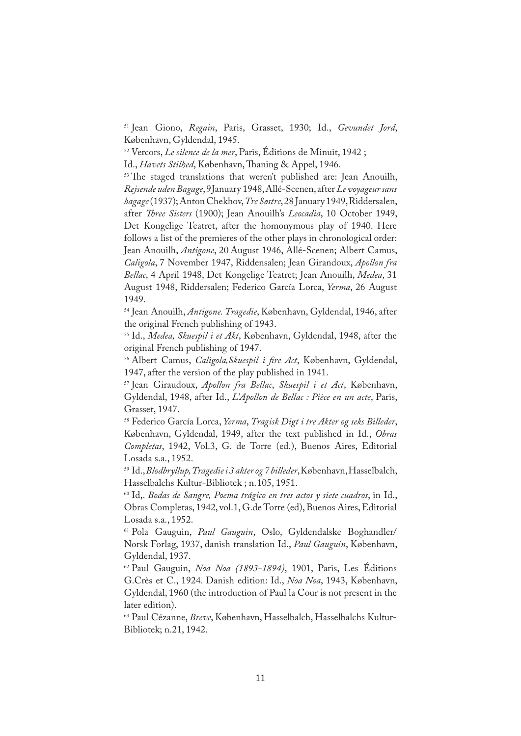<sup>51</sup> Jean Giono, *Regain*, Paris, Grasset, 1930; Id., *Gevundet Jord*, København, Gyldendal, 1945.

<sup>52</sup> Vercors, *Le silence de la mer*, Paris, Éditions de Minuit, 1942 ;

Id., *Havets Stilhed*, København, Thaning & Appel, 1946.

<sup>53</sup> The staged translations that weren't published are: Jean Anouilh, *Rejsende uden Bagage*, 9January 1948, Allé-Scenen, after *Le voyageur sans bagage* (1937); Anton Chekhov, *Tre Søstre*, 28 January 1949, Riddersalen, after *�ree Sisters* (1900); Jean Anouilh's *Leocadia*, 10 October 1949, Det Kongelige Teatret, after the homonymous play of 1940. Here follows a list of the premieres of the other plays in chronological order: Jean Anouilh, *Antigone*, 20 August 1946, Allé-Scenen; Albert Camus, *Caligola*, 7 November 1947, Riddensalen; Jean Girandoux, *Apollon fra Bellac*, 4 April 1948, Det Kongelige Teatret; Jean Anouilh, *Medea*, 31 August 1948, Riddersalen; Federico García Lorca, *Yerma*, 26 August 1949.

<sup>54</sup> Jean Anouilh, *Antigone. Tragedie*, København, Gyldendal, 1946, after the original French publishing of 1943.

<sup>55</sup> Id., *Medea, Skuespil i et Akt*, København, Gyldendal, 1948, after the original French publishing of 1947.

<sup>56</sup> Albert Camus, *Caligola,Skuespil i �re Act*, København, Gyldendal, 1947, after the version of the play published in 1941.

<sup>57</sup> Jean Giraudoux, *Apollon fra Bellac*, *Skuespil i et Act*, København, Gyldendal, 1948, after Id., *L'Apollon de Bellac : Pièce en un acte*, Paris, Grasset, 1947.

<sup>58</sup> Federico García Lorca, *Yerma*, *Tragisk Digt i tre Akter og seks Billeder*, København, Gyldendal, 1949, after the text published in Id., *Obras Completas*, 1942, Vol.3, G. de Torre (ed.), Buenos Aires, Editorial Losada s.a., 1952.

<sup>59</sup> Id., *Blodbryllup, Tragedie i 3 akter og 7 billeder*, København, Hasselbalch, Hasselbalchs Kultur-Bibliotek ; n.105, 1951.

<sup>60</sup> Id,. *Bodas de Sangre, Poema trágico en tres actos y siete cuadros*, in Id., Obras Completas, 1942, vol.1, G.de Torre (ed), Buenos Aires, Editorial Losada s.a., 1952.

<sup>61</sup> Pola Gauguin, *Paul Gauguin*, Oslo, Gyldendalske Boghandler/ Norsk Forlag, 1937, danish translation Id., *Paul Gauguin*, København, Gyldendal, 1937.

<sup>62</sup> Paul Gauguin, *Noa Noa (1893-1894)*, 1901, Paris, Les Éditions G.Crès et C., 1924. Danish edition: Id., *Noa Noa*, 1943, København, Gyldendal, 1960 (the introduction of Paul la Cour is not present in the later edition).

<sup>63</sup> Paul Cézanne, *Breve*, København, Hasselbalch, Hasselbalchs Kultur-Bibliotek; n.21, 1942.